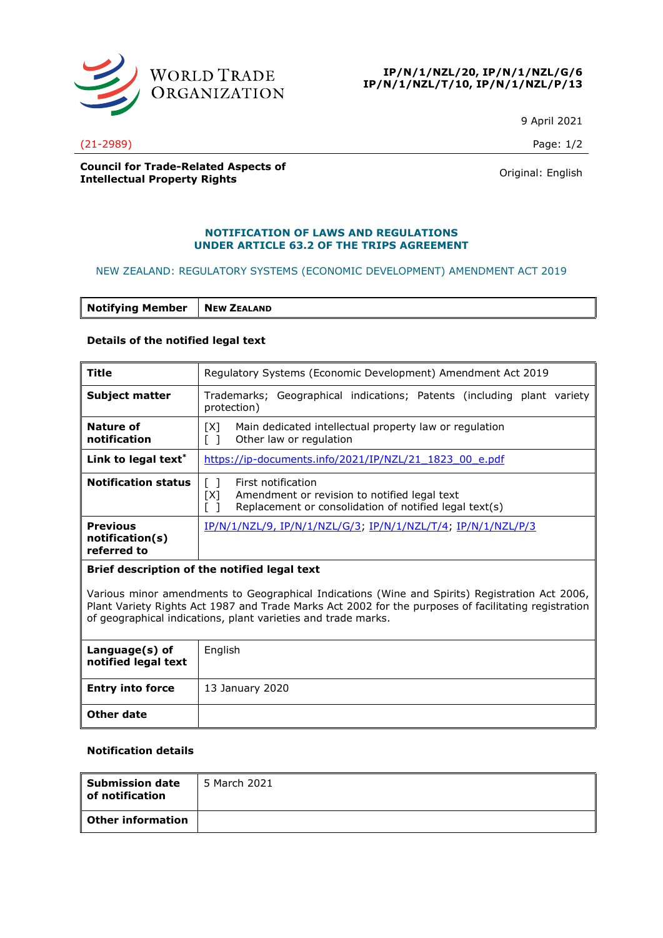

#### **IP/N/1/NZL/20, IP/N/1/NZL/G/6 IP/N/1/NZL/T/10, IP/N/1/NZL/P/13**

9 April 2021

(21-2989) Page: 1/2

**Council for Trade-Related Aspects of COUNCIL TOP ITAGE-RELATED ASPECTS OF A COUNTER SERVICE CONTROL**<br> **Intellectual Property Rights** Counter of American Counter of American Counter of American Counter of American Counter of American Counter of American Count

#### **NOTIFICATION OF LAWS AND REGULATIONS UNDER ARTICLE 63.2 OF THE TRIPS AGREEMENT**

## NEW ZEALAND: REGULATORY SYSTEMS (ECONOMIC DEVELOPMENT) AMENDMENT ACT 2019

|  | <b>Notifying Member</b> | NEW ZEALAND |
|--|-------------------------|-------------|
|--|-------------------------|-------------|

## **Details of the notified legal text**

| <b>Title</b>                                                                                                                                                                                                                                                            | Regulatory Systems (Economic Development) Amendment Act 2019                                                                                  |  |
|-------------------------------------------------------------------------------------------------------------------------------------------------------------------------------------------------------------------------------------------------------------------------|-----------------------------------------------------------------------------------------------------------------------------------------------|--|
| <b>Subject matter</b>                                                                                                                                                                                                                                                   | Trademarks; Geographical indications; Patents (including plant variety<br>protection)                                                         |  |
| Nature of<br>notification                                                                                                                                                                                                                                               | Main dedicated intellectual property law or regulation<br>TX1.<br>Other law or regulation                                                     |  |
| Link to legal text*                                                                                                                                                                                                                                                     | https://ip-documents.info/2021/IP/NZL/21 1823 00 e.pdf                                                                                        |  |
| <b>Notification status</b>                                                                                                                                                                                                                                              | First notification<br>$\Box$<br>[X]<br>Amendment or revision to notified legal text<br>Replacement or consolidation of notified legal text(s) |  |
| <b>Previous</b><br>notification(s)<br>referred to                                                                                                                                                                                                                       | <u>IP/N/1/NZL/9, IP/N/1/NZL/G/3; IP/N/1/NZL/T/4; IP/N/1/NZL/P/3</u>                                                                           |  |
| Brief description of the notified legal text                                                                                                                                                                                                                            |                                                                                                                                               |  |
| Various minor amendments to Geographical Indications (Wine and Spirits) Registration Act 2006,<br>Plant Variety Rights Act 1987 and Trade Marks Act 2002 for the purposes of facilitating registration<br>of geographical indications, plant varieties and trade marks. |                                                                                                                                               |  |

| Language(s) of<br>notified legal text | English         |
|---------------------------------------|-----------------|
| <b>Entry into force</b>               | 13 January 2020 |
| Other date                            |                 |

# **Notification details**

| <b>Submission date</b><br>l of notification | 5 March 2021 |
|---------------------------------------------|--------------|
| l Other information                         |              |